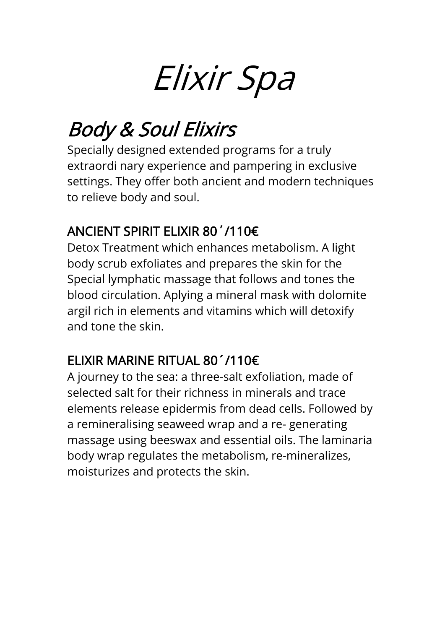# Elixir Spa

## Body & Soul Elixirs

Specially designed extended programs for a truly extraordi nary experience and pampering in exclusive settings. They offer both ancient and modern techniques to relieve body and soul.

## ANCIENT SPIRIT ELIXIR 80΄/110€

Detox Treatment which enhances metabolism. A light body scrub exfoliates and prepares the skin for the Special lymphatic massage that follows and tones the blood circulation. Aplying a mineral mask with dolomite argil rich in elements and vitamins which will detoxify and tone the skin.

## ELIXIR MARINE RITUAL 80´/110€

A journey to the sea: a three-salt exfoliation, made of selected salt for their richness in minerals and trace elements release epidermis from dead cells. Followed by a remineralising seaweed wrap and a re- generating massage using beeswax and essential oils. The laminaria body wrap regulates the metabolism, re-mineralizes, moisturizes and protects the skin.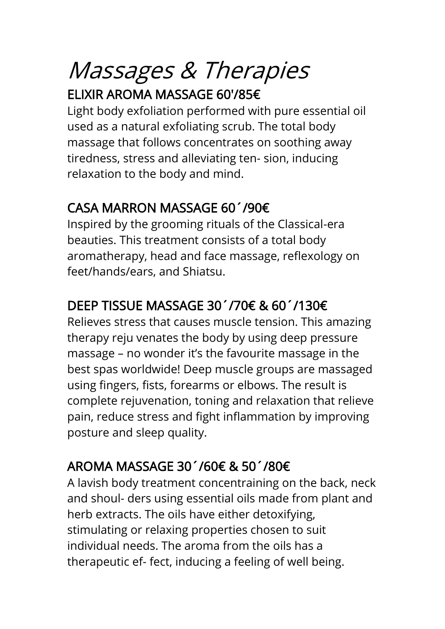## Massages & Therapies ELIXIR AROMA MASSAGE 60'/85€

Light body exfoliation performed with pure essential oil used as a natural exfoliating scrub. The total body massage that follows concentrates on soothing away tiredness, stress and alleviating ten- sion, inducing relaxation to the body and mind.

## CASA MARRON MASSAGE 60´/90€

Inspired by the grooming rituals of the Classical-era beauties. This treatment consists of a total body aromatherapy, head and face massage, reflexology on feet/hands/ears, and Shiatsu.

## DEEP TISSUE MASSAGE 30´/70€ & 60´/130€

Relieves stress that causes muscle tension. This amazing therapy reju venates the body by using deep pressure massage – no wonder it's the favourite massage in the best spas worldwide! Deep muscle groups are massaged using fingers, fists, forearms or elbows. The result is complete rejuvenation, toning and relaxation that relieve pain, reduce stress and fight inflammation by improving posture and sleep quality.

## AROMA MASSAGE 30´/60€ & 50´/80€

A lavish body treatment concentraining on the back, neck and shoul- ders using essential oils made from plant and herb extracts. The oils have either detoxifying, stimulating or relaxing properties chosen to suit individual needs. The aroma from the oils has a therapeutic ef- fect, inducing a feeling of well being.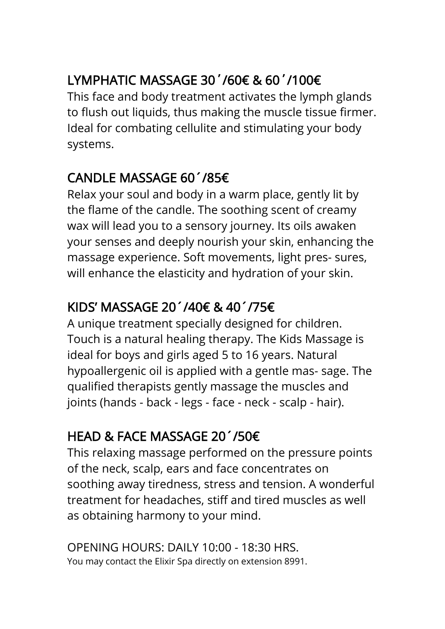## LYMPHATIC MASSAGE 30΄/60€ & 60΄/100€

This face and body treatment activates the lymph glands to flush out liquids, thus making the muscle tissue firmer. Ideal for combating cellulite and stimulating your body systems.

### CANDLE MASSAGE 60´/85€

Relax your soul and body in a warm place, gently lit by the flame of the candle. The soothing scent of creamy wax will lead you to a sensory journey. Its oils awaken your senses and deeply nourish your skin, enhancing the massage experience. Soft movements, light pres- sures, will enhance the elasticity and hydration of your skin.

## KIDS' MASSAGE 20´/40€ & 40´/75€

A unique treatment specially designed for children. Touch is a natural healing therapy. The Kids Massage is ideal for boys and girls aged 5 to 16 years. Natural hypoallergenic oil is applied with a gentle mas- sage. The qualified therapists gently massage the muscles and joints (hands - back - legs - face - neck - scalp - hair).

## HEAD & FACE MASSAGE 20´/50€

This relaxing massage performed on the pressure points of the neck, scalp, ears and face concentrates on soothing away tiredness, stress and tension. A wonderful treatment for headaches, stiff and tired muscles as well as obtaining harmony to your mind.

OPENING HOURS: DAILY 10:00 - 18:30 HRS. You may contact the Elixir Spa directly on extension 8991.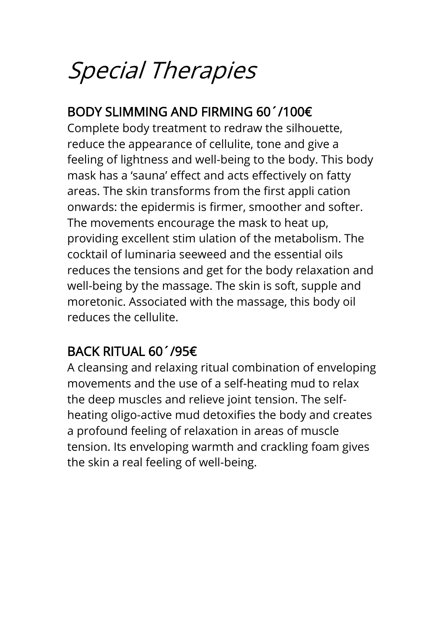## Special Therapies

## BODY SLIMMING AND FIRMING 60´/100€

Complete body treatment to redraw the silhouette, reduce the appearance of cellulite, tone and give a feeling of lightness and well-being to the body. This body mask has a 'sauna' effect and acts effectively on fatty areas. The skin transforms from the first appli cation onwards: the epidermis is firmer, smoother and softer. The movements encourage the mask to heat up, providing excellent stim ulation of the metabolism. The cocktail of luminaria seeweed and the essential oils reduces the tensions and get for the body relaxation and well-being by the massage. The skin is soft, supple and moretonic. Associated with the massage, this body oil reduces the cellulite.

## BACK RITUAL 60´/95€

A cleansing and relaxing ritual combination of enveloping movements and the use of a self-heating mud to relax the deep muscles and relieve joint tension. The selfheating oligo-active mud detoxifies the body and creates a profound feeling of relaxation in areas of muscle tension. Its enveloping warmth and crackling foam gives the skin a real feeling of well-being.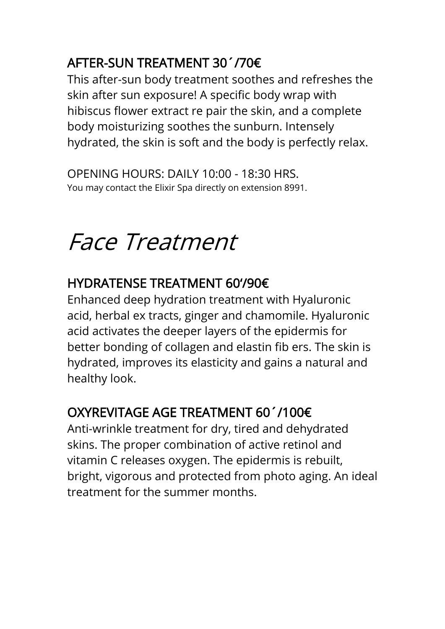## AFTER-SUN TREATMENT 30´/70€

This after-sun body treatment soothes and refreshes the skin after sun exposure! A specific body wrap with hibiscus flower extract re pair the skin, and a complete body moisturizing soothes the sunburn. Intensely hydrated, the skin is soft and the body is perfectly relax.

OPENING HOURS: DAILY 10:00 - 18:30 HRS. You may contact the Elixir Spa directly on extension 8991.

## Face Treatment

## HYDRATENSE TREATMENT 60'/90€

Enhanced deep hydration treatment with Hyaluronic acid, herbal ex tracts, ginger and chamomile. Hyaluronic acid activates the deeper layers of the epidermis for better bonding of collagen and elastin fib ers. The skin is hydrated, improves its elasticity and gains a natural and healthy look.

## OXYREVITAGE AGE TREATMENT 60´/100€

Anti-wrinkle treatment for dry, tired and dehydrated skins. The proper combination of active retinol and vitamin C releases oxygen. The epidermis is rebuilt, bright, vigorous and protected from photo aging. An ideal treatment for the summer months.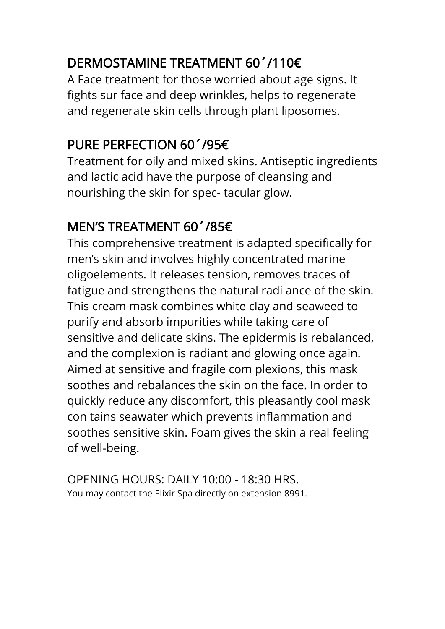## DERMOSTAMINE TREATMENT 60´/110€

A Face treatment for those worried about age signs. It fights sur face and deep wrinkles, helps to regenerate and regenerate skin cells through plant liposomes.

## PURE PERFECTION 60´/95€

Treatment for oily and mixed skins. Antiseptic ingredients and lactic acid have the purpose of cleansing and nourishing the skin for spec- tacular glow.

## MEN'S TREATMENT 60´/85€

This comprehensive treatment is adapted specifically for men's skin and involves highly concentrated marine oligoelements. It releases tension, removes traces of fatigue and strengthens the natural radi ance of the skin. This cream mask combines white clay and seaweed to purify and absorb impurities while taking care of sensitive and delicate skins. The epidermis is rebalanced, and the complexion is radiant and glowing once again. Aimed at sensitive and fragile com plexions, this mask soothes and rebalances the skin on the face. In order to quickly reduce any discomfort, this pleasantly cool mask con tains seawater which prevents inflammation and soothes sensitive skin. Foam gives the skin a real feeling of well-being.

OPENING HOURS: DAILY 10:00 - 18:30 HRS. You may contact the Elixir Spa directly on extension 8991.